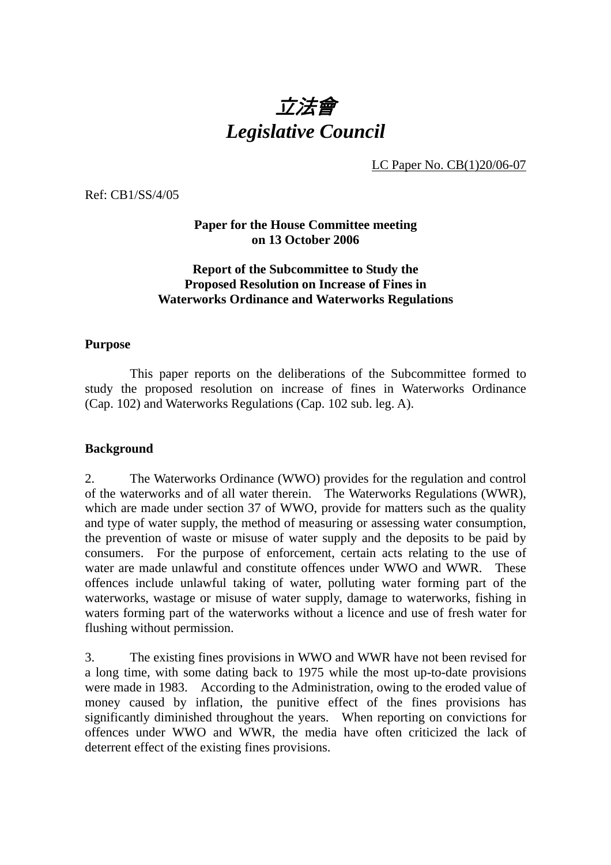# 立法會 *Legislative Council*

LC Paper No. CB(1)20/06-07

Ref: CB1/SS/4/05

**Paper for the House Committee meeting on 13 October 2006**

#### **Report of the Subcommittee to Study the Proposed Resolution on Increase of Fines in Waterworks Ordinance and Waterworks Regulations**

#### **Purpose**

 This paper reports on the deliberations of the Subcommittee formed to study the proposed resolution on increase of fines in Waterworks Ordinance (Cap. 102) and Waterworks Regulations (Cap. 102 sub. leg. A).

#### **Background**

2. The Waterworks Ordinance (WWO) provides for the regulation and control of the waterworks and of all water therein. The Waterworks Regulations (WWR), which are made under section 37 of WWO, provide for matters such as the quality and type of water supply, the method of measuring or assessing water consumption, the prevention of waste or misuse of water supply and the deposits to be paid by consumers. For the purpose of enforcement, certain acts relating to the use of water are made unlawful and constitute offences under WWO and WWR. These offences include unlawful taking of water, polluting water forming part of the waterworks, wastage or misuse of water supply, damage to waterworks, fishing in waters forming part of the waterworks without a licence and use of fresh water for flushing without permission.

3. The existing fines provisions in WWO and WWR have not been revised for a long time, with some dating back to 1975 while the most up-to-date provisions were made in 1983. According to the Administration, owing to the eroded value of money caused by inflation, the punitive effect of the fines provisions has significantly diminished throughout the years. When reporting on convictions for offences under WWO and WWR, the media have often criticized the lack of deterrent effect of the existing fines provisions.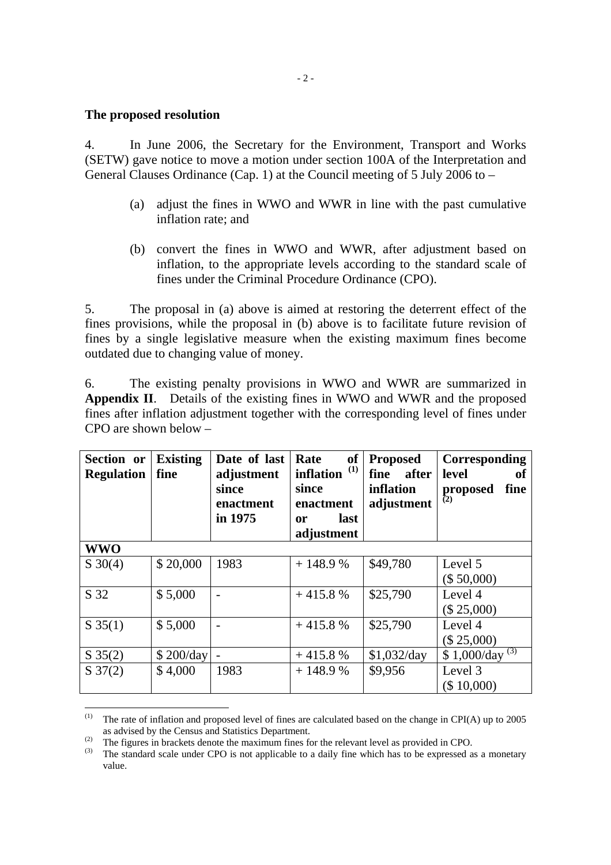#### **The proposed resolution**

l

4. In June 2006, the Secretary for the Environment, Transport and Works (SETW) gave notice to move a motion under section 100A of the Interpretation and General Clauses Ordinance (Cap. 1) at the Council meeting of 5 July 2006 to –

- (a) adjust the fines in WWO and WWR in line with the past cumulative inflation rate; and
- (b) convert the fines in WWO and WWR, after adjustment based on inflation, to the appropriate levels according to the standard scale of fines under the Criminal Procedure Ordinance (CPO).

5. The proposal in (a) above is aimed at restoring the deterrent effect of the fines provisions, while the proposal in (b) above is to facilitate future revision of fines by a single legislative measure when the existing maximum fines become outdated due to changing value of money.

6. The existing penalty provisions in WWO and WWR are summarized in **Appendix II**. Details of the existing fines in WWO and WWR and the proposed fines after inflation adjustment together with the corresponding level of fines under CPO are shown below –

| Section or<br><b>Regulation</b> | <b>Existing</b><br>fine | Date of last<br>adjustment<br>since<br>enactment<br>in 1975 | <b>of</b><br>Rate<br>(1)<br><b>inflation</b><br>since<br>enactment<br>last<br>0r<br>adjustment | <b>Proposed</b><br>fine<br>after<br>inflation<br>adjustment | Corresponding<br>level<br>оf<br>fine<br>proposed<br>(2) |
|---------------------------------|-------------------------|-------------------------------------------------------------|------------------------------------------------------------------------------------------------|-------------------------------------------------------------|---------------------------------------------------------|
| <b>WWO</b>                      |                         |                                                             |                                                                                                |                                                             |                                                         |
| $S \ 30(4)$                     | \$20,000                | 1983                                                        | $+148.9%$                                                                                      | \$49,780                                                    | Level 5                                                 |
|                                 |                         |                                                             |                                                                                                |                                                             | (\$50,000)                                              |
| S 32                            | \$5,000                 |                                                             | $+415.8%$                                                                                      | \$25,790                                                    | Level 4                                                 |
|                                 |                         |                                                             |                                                                                                |                                                             | (\$25,000)                                              |
| $S\,35(1)$                      | \$5,000                 |                                                             | $+415.8%$                                                                                      | \$25,790                                                    | Level 4                                                 |
|                                 |                         |                                                             |                                                                                                |                                                             | (\$25,000)                                              |
| $S \, 35(2)$                    | \$200/day               |                                                             | $+415.8%$                                                                                      | \$1,032/day                                                 | (3)<br>\$1,000/day                                      |
| $S\,37(2)$                      | \$4,000                 | 1983                                                        | $+148.9%$                                                                                      | \$9,956                                                     | Level 3                                                 |
|                                 |                         |                                                             |                                                                                                |                                                             | (\$ 10,000)                                             |

<sup>(1)</sup> The rate of inflation and proposed level of fines are calculated based on the change in CPI(A) up to 2005 as advised by the Census and Statistics Department.

<sup>(2)</sup> The figures in brackets denote the maximum fines for the relevant level as provided in CPO.

 $^{(3)}$  The standard scale under CPO is not applicable to a daily fine which has to be expressed as a monetary value.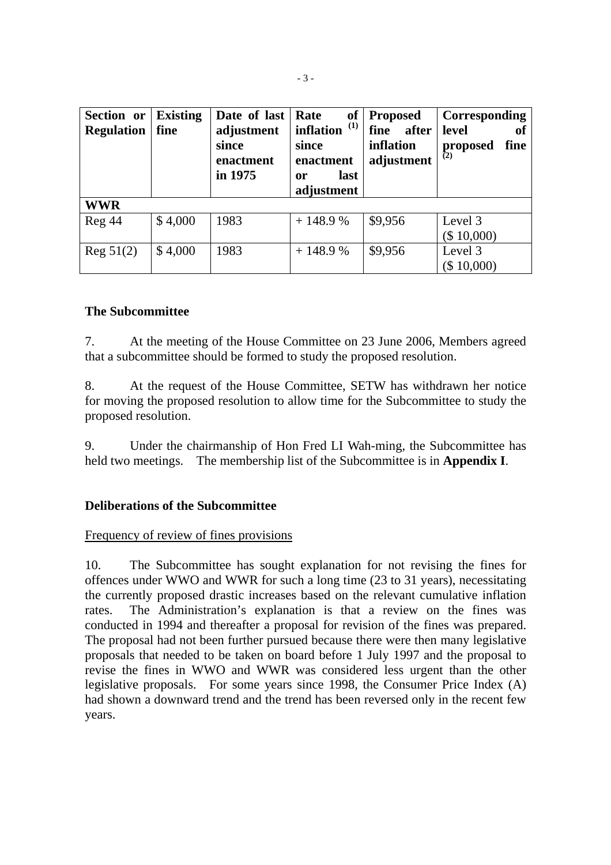| Section or<br><b>Regulation</b> | <b>Existing</b><br>fine | Date of last<br>adjustment<br>since<br>enactment<br>in 1975 | Rate<br>inflation $(1)$<br>since<br>enactment<br>last<br>0r<br>adjustment | of   Proposed<br>after<br>fine<br>inflation<br>adjustment | Corresponding<br>level<br>of<br>fine<br>proposed<br>(2) |
|---------------------------------|-------------------------|-------------------------------------------------------------|---------------------------------------------------------------------------|-----------------------------------------------------------|---------------------------------------------------------|
| <b>WWR</b>                      |                         |                                                             |                                                                           |                                                           |                                                         |
| Reg 44                          | \$4,000                 | 1983                                                        | $+148.9%$                                                                 | \$9,956                                                   | Level 3<br>(\$10,000)                                   |
| Reg 51(2)                       | \$4,000                 | 1983                                                        | $+148.9%$                                                                 | \$9,956                                                   | Level 3<br>(\$ 10,000)                                  |

#### **The Subcommittee**

7. At the meeting of the House Committee on 23 June 2006, Members agreed that a subcommittee should be formed to study the proposed resolution.

8. At the request of the House Committee, SETW has withdrawn her notice for moving the proposed resolution to allow time for the Subcommittee to study the proposed resolution.

9. Under the chairmanship of Hon Fred LI Wah-ming, the Subcommittee has held two meetings. The membership list of the Subcommittee is in **Appendix I**.

#### **Deliberations of the Subcommittee**

#### Frequency of review of fines provisions

10. The Subcommittee has sought explanation for not revising the fines for offences under WWO and WWR for such a long time (23 to 31 years), necessitating the currently proposed drastic increases based on the relevant cumulative inflation rates. The Administration's explanation is that a review on the fines was conducted in 1994 and thereafter a proposal for revision of the fines was prepared. The proposal had not been further pursued because there were then many legislative proposals that needed to be taken on board before 1 July 1997 and the proposal to revise the fines in WWO and WWR was considered less urgent than the other legislative proposals. For some years since 1998, the Consumer Price Index (A) had shown a downward trend and the trend has been reversed only in the recent few years.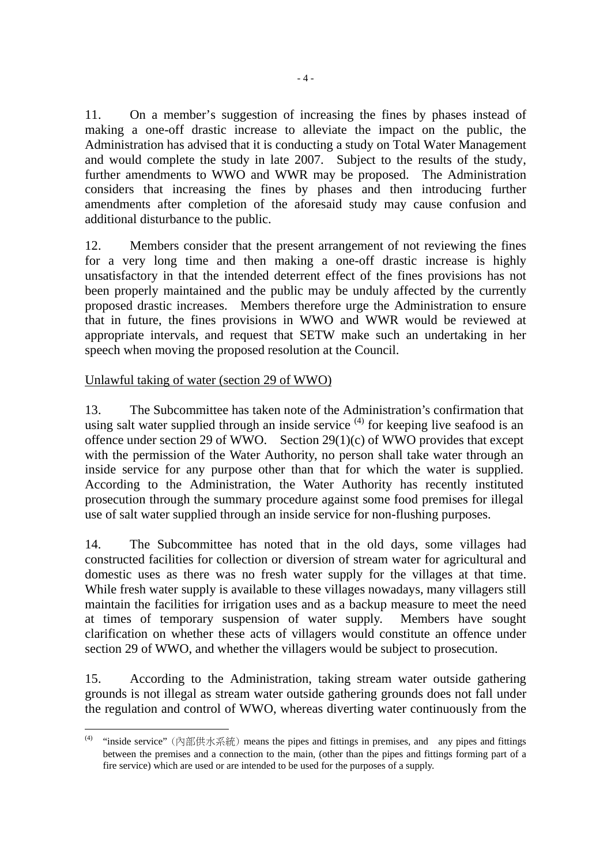11. On a member's suggestion of increasing the fines by phases instead of making a one-off drastic increase to alleviate the impact on the public, the Administration has advised that it is conducting a study on Total Water Management and would complete the study in late 2007. Subject to the results of the study, further amendments to WWO and WWR may be proposed. The Administration considers that increasing the fines by phases and then introducing further amendments after completion of the aforesaid study may cause confusion and additional disturbance to the public.

12. Members consider that the present arrangement of not reviewing the fines for a very long time and then making a one-off drastic increase is highly unsatisfactory in that the intended deterrent effect of the fines provisions has not been properly maintained and the public may be unduly affected by the currently proposed drastic increases. Members therefore urge the Administration to ensure that in future, the fines provisions in WWO and WWR would be reviewed at appropriate intervals, and request that SETW make such an undertaking in her speech when moving the proposed resolution at the Council.

#### Unlawful taking of water (section 29 of WWO)

13. The Subcommittee has taken note of the Administration's confirmation that using salt water supplied through an inside service  $(4)$  for keeping live seafood is an offence under section 29 of WWO. Section  $29(1)(c)$  of WWO provides that except with the permission of the Water Authority, no person shall take water through an inside service for any purpose other than that for which the water is supplied. According to the Administration, the Water Authority has recently instituted prosecution through the summary procedure against some food premises for illegal use of salt water supplied through an inside service for non-flushing purposes.

14. The Subcommittee has noted that in the old days, some villages had constructed facilities for collection or diversion of stream water for agricultural and domestic uses as there was no fresh water supply for the villages at that time. While fresh water supply is available to these villages nowadays, many villagers still maintain the facilities for irrigation uses and as a backup measure to meet the need at times of temporary suspension of water supply. Members have sought clarification on whether these acts of villagers would constitute an offence under section 29 of WWO, and whether the villagers would be subject to prosecution.

15. According to the Administration, taking stream water outside gathering grounds is not illegal as stream water outside gathering grounds does not fall under the regulation and control of WWO, whereas diverting water continuously from the

 $(4)$ (4) "inside service" (內部供水系統) means the pipes and fittings in premises, and any pipes and fittings between the premises and a connection to the main, (other than the pipes and fittings forming part of a fire service) which are used or are intended to be used for the purposes of a supply.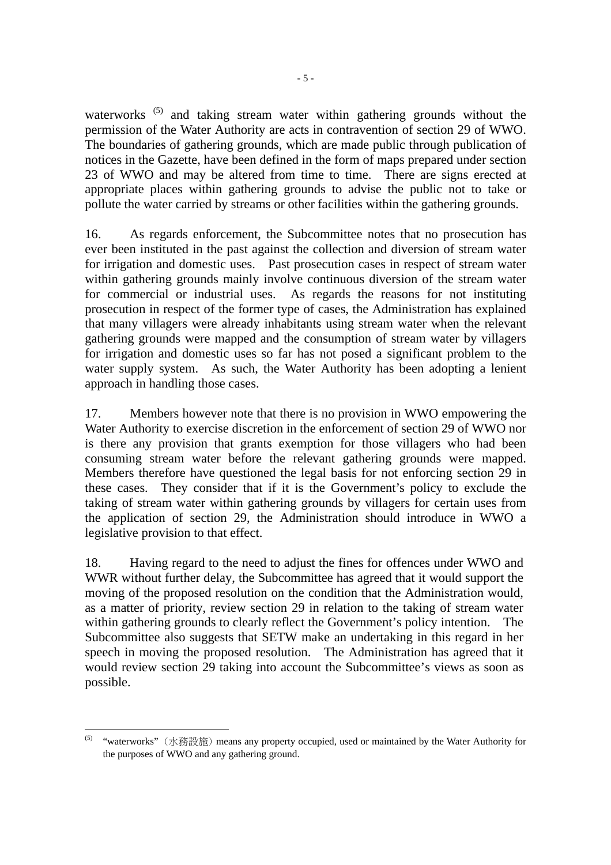waterworks<sup>(5)</sup> and taking stream water within gathering grounds without the permission of the Water Authority are acts in contravention of section 29 of WWO. The boundaries of gathering grounds, which are made public through publication of notices in the Gazette, have been defined in the form of maps prepared under section 23 of WWO and may be altered from time to time. There are signs erected at appropriate places within gathering grounds to advise the public not to take or pollute the water carried by streams or other facilities within the gathering grounds.

16. As regards enforcement, the Subcommittee notes that no prosecution has ever been instituted in the past against the collection and diversion of stream water for irrigation and domestic uses. Past prosecution cases in respect of stream water within gathering grounds mainly involve continuous diversion of the stream water for commercial or industrial uses. As regards the reasons for not instituting prosecution in respect of the former type of cases, the Administration has explained that many villagers were already inhabitants using stream water when the relevant gathering grounds were mapped and the consumption of stream water by villagers for irrigation and domestic uses so far has not posed a significant problem to the water supply system. As such, the Water Authority has been adopting a lenient approach in handling those cases.

17. Members however note that there is no provision in WWO empowering the Water Authority to exercise discretion in the enforcement of section 29 of WWO nor is there any provision that grants exemption for those villagers who had been consuming stream water before the relevant gathering grounds were mapped. Members therefore have questioned the legal basis for not enforcing section 29 in these cases. They consider that if it is the Government's policy to exclude the taking of stream water within gathering grounds by villagers for certain uses from the application of section 29, the Administration should introduce in WWO a legislative provision to that effect.

18. Having regard to the need to adjust the fines for offences under WWO and WWR without further delay, the Subcommittee has agreed that it would support the moving of the proposed resolution on the condition that the Administration would, as a matter of priority, review section 29 in relation to the taking of stream water within gathering grounds to clearly reflect the Government's policy intention. The Subcommittee also suggests that SETW make an undertaking in this regard in her speech in moving the proposed resolution. The Administration has agreed that it would review section 29 taking into account the Subcommittee's views as soon as possible.

l

<sup>&</sup>lt;sup>(5)</sup> "waterworks" (水務設施) means any property occupied, used or maintained by the Water Authority for the purposes of WWO and any gathering ground.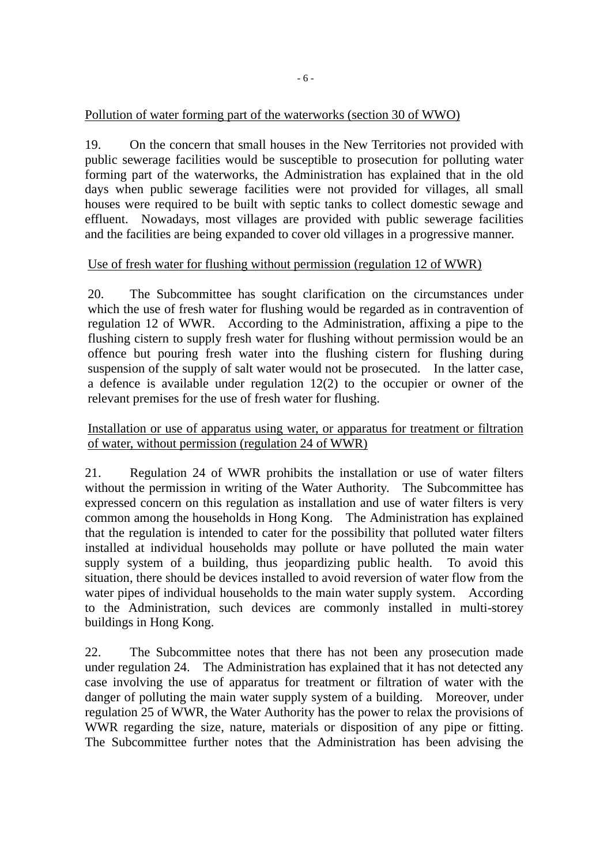## Pollution of water forming part of the waterworks (section 30 of WWO)

19. On the concern that small houses in the New Territories not provided with public sewerage facilities would be susceptible to prosecution for polluting water forming part of the waterworks, the Administration has explained that in the old days when public sewerage facilities were not provided for villages, all small houses were required to be built with septic tanks to collect domestic sewage and effluent. Nowadays, most villages are provided with public sewerage facilities and the facilities are being expanded to cover old villages in a progressive manner.

#### Use of fresh water for flushing without permission (regulation 12 of WWR)

20. The Subcommittee has sought clarification on the circumstances under which the use of fresh water for flushing would be regarded as in contravention of regulation 12 of WWR. According to the Administration, affixing a pipe to the flushing cistern to supply fresh water for flushing without permission would be an offence but pouring fresh water into the flushing cistern for flushing during suspension of the supply of salt water would not be prosecuted. In the latter case, a defence is available under regulation 12(2) to the occupier or owner of the relevant premises for the use of fresh water for flushing.

Installation or use of apparatus using water, or apparatus for treatment or filtration of water, without permission (regulation 24 of WWR)

21. Regulation 24 of WWR prohibits the installation or use of water filters without the permission in writing of the Water Authority. The Subcommittee has expressed concern on this regulation as installation and use of water filters is very common among the households in Hong Kong. The Administration has explained that the regulation is intended to cater for the possibility that polluted water filters installed at individual households may pollute or have polluted the main water supply system of a building, thus jeopardizing public health. To avoid this situation, there should be devices installed to avoid reversion of water flow from the water pipes of individual households to the main water supply system. According to the Administration, such devices are commonly installed in multi-storey buildings in Hong Kong.

22. The Subcommittee notes that there has not been any prosecution made under regulation 24. The Administration has explained that it has not detected any case involving the use of apparatus for treatment or filtration of water with the danger of polluting the main water supply system of a building. Moreover, under regulation 25 of WWR, the Water Authority has the power to relax the provisions of WWR regarding the size, nature, materials or disposition of any pipe or fitting. The Subcommittee further notes that the Administration has been advising the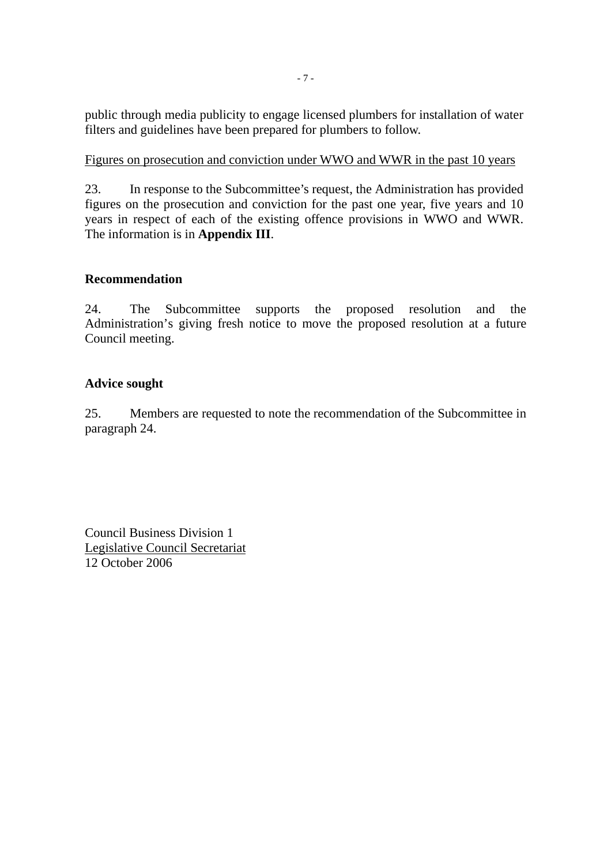public through media publicity to engage licensed plumbers for installation of water filters and guidelines have been prepared for plumbers to follow.

### Figures on prosecution and conviction under WWO and WWR in the past 10 years

23. In response to the Subcommittee's request, the Administration has provided figures on the prosecution and conviction for the past one year, five years and 10 years in respect of each of the existing offence provisions in WWO and WWR. The information is in **Appendix III**.

## **Recommendation**

24. The Subcommittee supports the proposed resolution and the Administration's giving fresh notice to move the proposed resolution at a future Council meeting.

## **Advice sought**

25. Members are requested to note the recommendation of the Subcommittee in paragraph 24.

Council Business Division 1 Legislative Council Secretariat 12 October 2006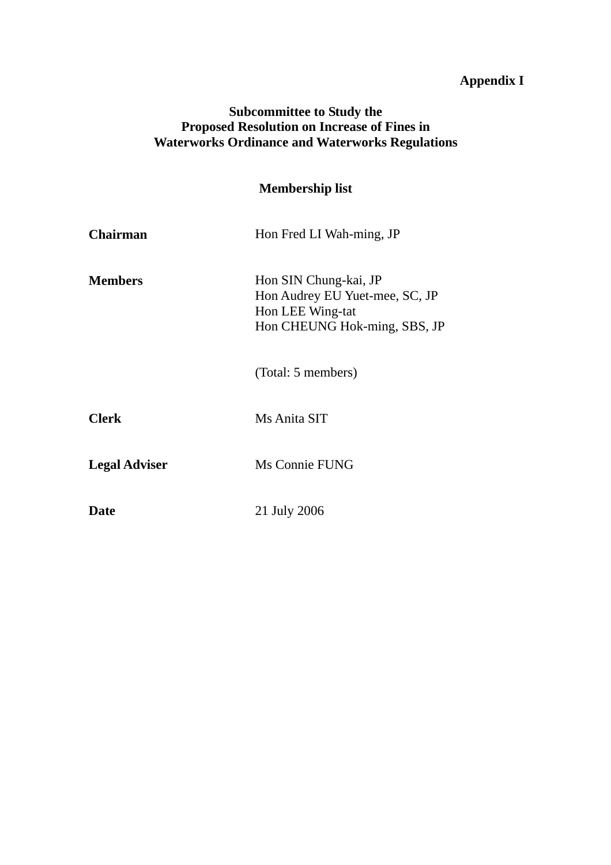# **Appendix I**

# **Subcommittee to Study the Proposed Resolution on Increase of Fines in Waterworks Ordinance and Waterworks Regulations**

|                      | <b>Membership list</b>                                                                                      |  |  |  |  |  |
|----------------------|-------------------------------------------------------------------------------------------------------------|--|--|--|--|--|
| <b>Chairman</b>      | Hon Fred LI Wah-ming, JP                                                                                    |  |  |  |  |  |
| <b>Members</b>       | Hon SIN Chung-kai, JP<br>Hon Audrey EU Yuet-mee, SC, JP<br>Hon LEE Wing-tat<br>Hon CHEUNG Hok-ming, SBS, JP |  |  |  |  |  |
|                      | (Total: 5 members)                                                                                          |  |  |  |  |  |
| <b>Clerk</b>         | Ms Anita SIT                                                                                                |  |  |  |  |  |
| <b>Legal Adviser</b> | Ms Connie FUNG                                                                                              |  |  |  |  |  |
| Date                 | 21 July 2006                                                                                                |  |  |  |  |  |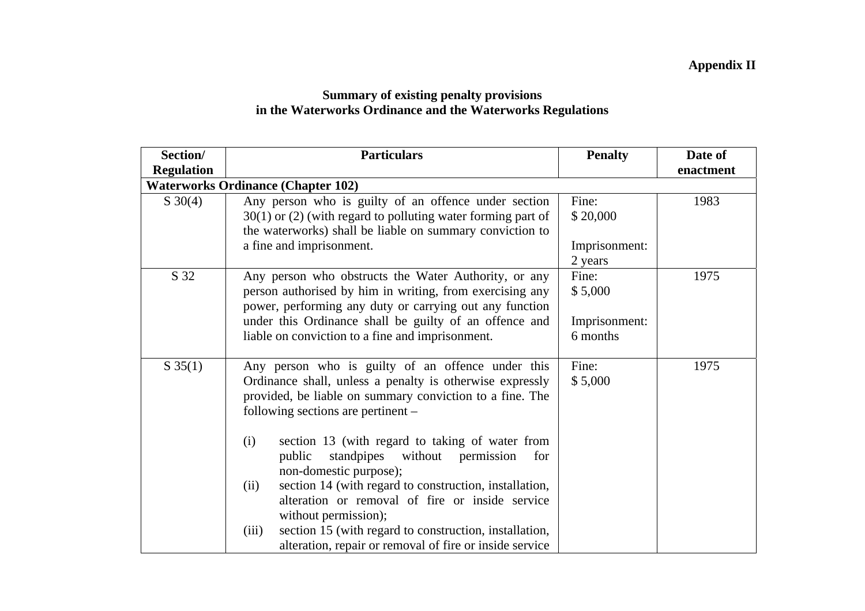## **Summary of existing penalty provisions in the Waterworks Ordinance and the Waterworks Regulations**

| Section/          | <b>Particulars</b>                                                                                                                                                                                                                                                                                                                                                                                                                                                                                                                                                                                                                     | <b>Penalty</b>                                           | Date of   |
|-------------------|----------------------------------------------------------------------------------------------------------------------------------------------------------------------------------------------------------------------------------------------------------------------------------------------------------------------------------------------------------------------------------------------------------------------------------------------------------------------------------------------------------------------------------------------------------------------------------------------------------------------------------------|----------------------------------------------------------|-----------|
| <b>Regulation</b> | <b>Waterworks Ordinance (Chapter 102)</b>                                                                                                                                                                                                                                                                                                                                                                                                                                                                                                                                                                                              |                                                          | enactment |
| $S \ 30(4)$       | Any person who is guilty of an offence under section<br>$30(1)$ or (2) (with regard to polluting water forming part of<br>the waterworks) shall be liable on summary conviction to<br>a fine and imprisonment.                                                                                                                                                                                                                                                                                                                                                                                                                         | 1983                                                     |           |
| S 32              | Any person who obstructs the Water Authority, or any<br>person authorised by him in writing, from exercising any<br>power, performing any duty or carrying out any function<br>under this Ordinance shall be guilty of an offence and<br>liable on conviction to a fine and imprisonment.                                                                                                                                                                                                                                                                                                                                              | 2 years<br>Fine:<br>\$5,000<br>Imprisonment:<br>6 months | 1975      |
| $S\,35(1)$        | Any person who is guilty of an offence under this<br>Ordinance shall, unless a penalty is otherwise expressly<br>provided, be liable on summary conviction to a fine. The<br>following sections are pertinent –<br>section 13 (with regard to taking of water from<br>(i)<br>standpipes<br>without<br>permission<br>for<br>public<br>non-domestic purpose);<br>section 14 (with regard to construction, installation,<br>(ii)<br>alteration or removal of fire or inside service<br>without permission);<br>section 15 (with regard to construction, installation,<br>(iii)<br>alteration, repair or removal of fire or inside service | Fine:<br>\$5,000                                         | 1975      |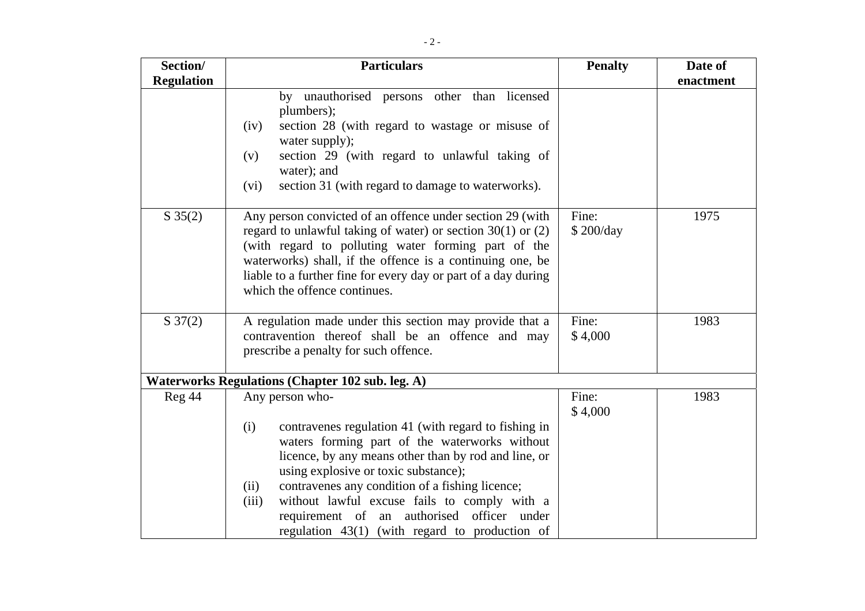| Section/            | <b>Particulars</b>                                                                                                                                                                                                                                                                                                                                                                                                                                  | <b>Penalty</b>     | Date of   |
|---------------------|-----------------------------------------------------------------------------------------------------------------------------------------------------------------------------------------------------------------------------------------------------------------------------------------------------------------------------------------------------------------------------------------------------------------------------------------------------|--------------------|-----------|
| <b>Regulation</b>   |                                                                                                                                                                                                                                                                                                                                                                                                                                                     |                    | enactment |
|                     | by unauthorised persons other than licensed<br>plumbers);<br>section 28 (with regard to wastage or misuse of<br>(iv)<br>water supply);<br>section 29 (with regard to unlawful taking of<br>(v)<br>water); and<br>section 31 (with regard to damage to waterworks).<br>(vi)                                                                                                                                                                          |                    |           |
| $S \ 35(2)$         | Any person convicted of an offence under section 29 (with<br>regard to unlawful taking of water) or section $30(1)$ or $(2)$<br>(with regard to polluting water forming part of the<br>waterworks) shall, if the offence is a continuing one, be<br>liable to a further fine for every day or part of a day during<br>which the offence continues.                                                                                                  | Fine:<br>\$200/day | 1975      |
| $S \frac{37(2)}{2}$ | A regulation made under this section may provide that a<br>contravention thereof shall be an offence and may<br>prescribe a penalty for such offence.                                                                                                                                                                                                                                                                                               | Fine:<br>\$4,000   | 1983      |
|                     | <b>Waterworks Regulations (Chapter 102 sub. leg. A)</b>                                                                                                                                                                                                                                                                                                                                                                                             |                    |           |
| Reg 44              | Any person who-<br>contravenes regulation 41 (with regard to fishing in<br>(i)<br>waters forming part of the waterworks without<br>licence, by any means other than by rod and line, or<br>using explosive or toxic substance);<br>contravenes any condition of a fishing licence;<br>(ii)<br>without lawful excuse fails to comply with a<br>(iii)<br>requirement of an authorised officer under<br>regulation 43(1) (with regard to production of | Fine:<br>\$4,000   | 1983      |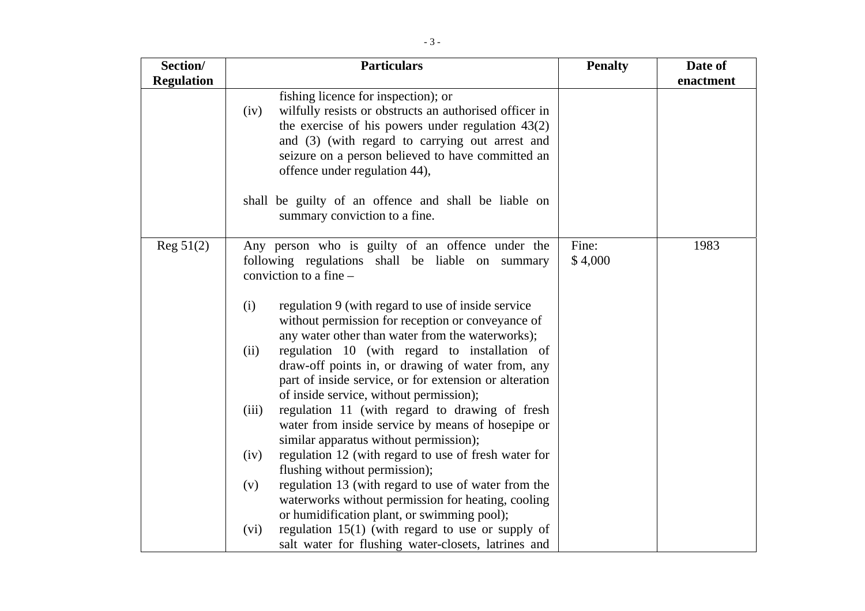| Section/          | <b>Particulars</b>                                                                                                                                                                                                                                                                                    | <b>Penalty</b>   | Date of   |
|-------------------|-------------------------------------------------------------------------------------------------------------------------------------------------------------------------------------------------------------------------------------------------------------------------------------------------------|------------------|-----------|
| <b>Regulation</b> |                                                                                                                                                                                                                                                                                                       |                  | enactment |
|                   | fishing licence for inspection); or<br>wilfully resists or obstructs an authorised officer in<br>(iv)<br>the exercise of his powers under regulation $43(2)$<br>and (3) (with regard to carrying out arrest and<br>seizure on a person believed to have committed an<br>offence under regulation 44), |                  |           |
|                   | shall be guilty of an offence and shall be liable on<br>summary conviction to a fine.                                                                                                                                                                                                                 |                  |           |
| Reg $51(2)$       | Any person who is guilty of an offence under the<br>following regulations shall be liable on summary<br>conviction to a fine -                                                                                                                                                                        | Fine:<br>\$4,000 | 1983      |
|                   | regulation 9 (with regard to use of inside service<br>(i)<br>without permission for reception or conveyance of<br>any water other than water from the waterworks);                                                                                                                                    |                  |           |
|                   | regulation 10 (with regard to installation of<br>(ii)<br>draw-off points in, or drawing of water from, any<br>part of inside service, or for extension or alteration<br>of inside service, without permission);                                                                                       |                  |           |
|                   | regulation 11 (with regard to drawing of fresh<br>(iii)<br>water from inside service by means of hosepipe or<br>similar apparatus without permission);                                                                                                                                                |                  |           |
|                   | regulation 12 (with regard to use of fresh water for<br>(iv)<br>flushing without permission);                                                                                                                                                                                                         |                  |           |
|                   | regulation 13 (with regard to use of water from the<br>(v)<br>waterworks without permission for heating, cooling<br>or humidification plant, or swimming pool);                                                                                                                                       |                  |           |
|                   | regulation $15(1)$ (with regard to use or supply of<br>(vi)<br>salt water for flushing water-closets, latrines and                                                                                                                                                                                    |                  |           |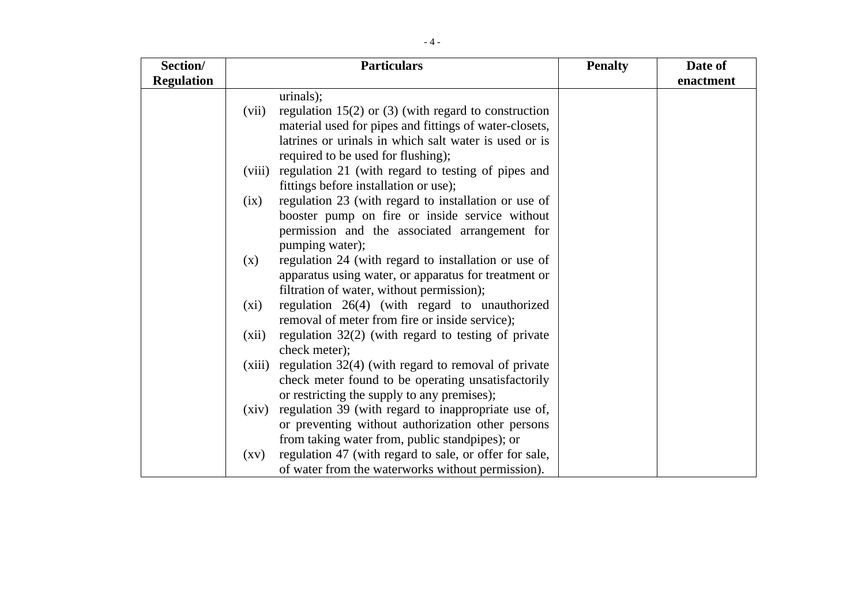| Section/          |                    | <b>Particulars</b>                                     | <b>Penalty</b> | Date of   |
|-------------------|--------------------|--------------------------------------------------------|----------------|-----------|
| <b>Regulation</b> |                    |                                                        |                | enactment |
|                   |                    | urinals);                                              |                |           |
|                   | (vii)              | regulation $15(2)$ or (3) (with regard to construction |                |           |
|                   |                    | material used for pipes and fittings of water-closets, |                |           |
|                   |                    | latrines or urinals in which salt water is used or is  |                |           |
|                   |                    | required to be used for flushing);                     |                |           |
|                   | (viii)             | regulation 21 (with regard to testing of pipes and     |                |           |
|                   |                    | fittings before installation or use);                  |                |           |
|                   | (ix)               | regulation 23 (with regard to installation or use of   |                |           |
|                   |                    | booster pump on fire or inside service without         |                |           |
|                   |                    | permission and the associated arrangement for          |                |           |
|                   |                    | pumping water);                                        |                |           |
|                   | (x)                | regulation 24 (with regard to installation or use of   |                |           |
|                   |                    | apparatus using water, or apparatus for treatment or   |                |           |
|                   |                    | filtration of water, without permission);              |                |           |
|                   | (xi)               | regulation 26(4) (with regard to unauthorized          |                |           |
|                   |                    | removal of meter from fire or inside service);         |                |           |
|                   | (xii)              | regulation $32(2)$ (with regard to testing of private  |                |           |
|                   |                    | check meter);                                          |                |           |
|                   | (xiii)             | regulation 32(4) (with regard to removal of private    |                |           |
|                   |                    | check meter found to be operating unsatisfactorily     |                |           |
|                   |                    | or restricting the supply to any premises);            |                |           |
|                   | (xiv)              | regulation 39 (with regard to inappropriate use of,    |                |           |
|                   |                    | or preventing without authorization other persons      |                |           |
|                   |                    | from taking water from, public standpipes); or         |                |           |
|                   | $\left( xy\right)$ | regulation 47 (with regard to sale, or offer for sale, |                |           |
|                   |                    | of water from the waterworks without permission).      |                |           |